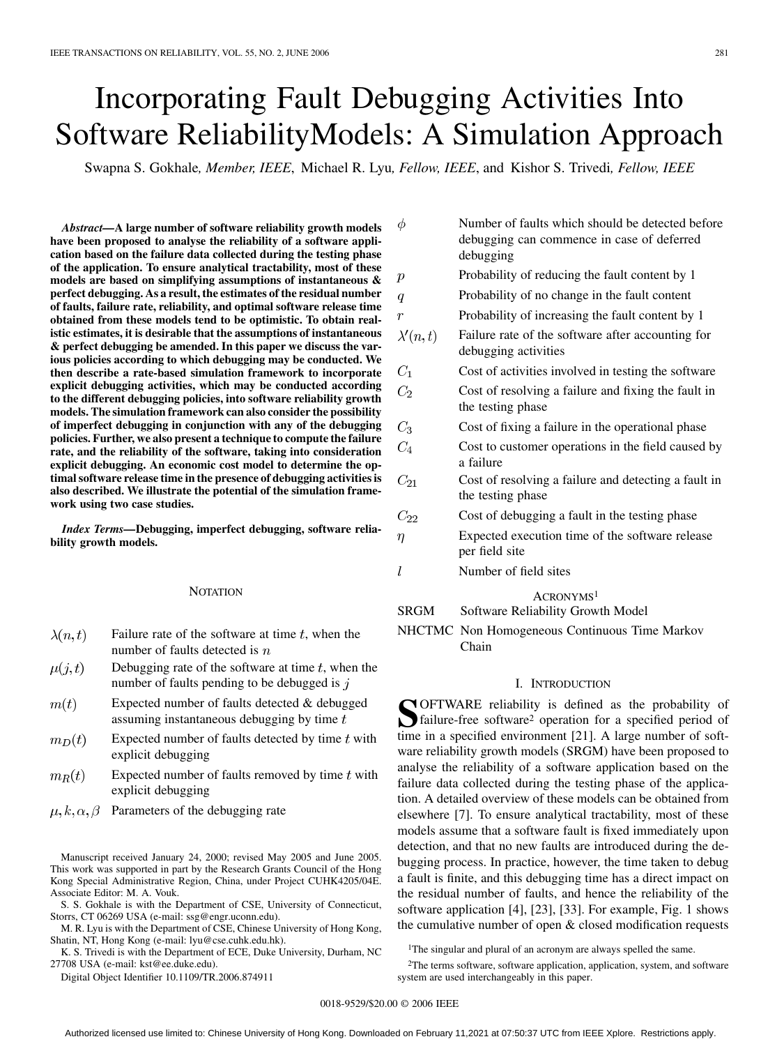# Incorporating Fault Debugging Activities Into Software ReliabilityModels: A Simulation Approach

Swapna S. Gokhale*, Member, IEEE*, Michael R. Lyu*, Fellow, IEEE*, and Kishor S. Trivedi*, Fellow, IEEE*

*Abstract—***A large number of software reliability growth models have been proposed to analyse the reliability of a software application based on the failure data collected during the testing phase of the application. To ensure analytical tractability, most of these models are based on simplifying assumptions of instantaneous & perfect debugging. As a result, the estimates of the residual number of faults, failure rate, reliability, and optimal software release time obtained from these models tend to be optimistic. To obtain realistic estimates, it is desirable that the assumptions of instantaneous & perfect debugging be amended. In this paper we discuss the various policies according to which debugging may be conducted. We then describe a rate-based simulation framework to incorporate explicit debugging activities, which may be conducted according to the different debugging policies, into software reliability growth models. The simulation framework can also consider the possibility of imperfect debugging in conjunction with any of the debugging policies. Further, we also present a technique to compute the failure rate, and the reliability of the software, taking into consideration explicit debugging. An economic cost model to determine the optimal software release time in the presence of debugging activities is also described. We illustrate the potential of the simulation framework using two case studies.**

*Index Terms—***Debugging, imperfect debugging, software reliability growth models.**

#### **NOTATION**

- Failure rate of the software at time  $t$ , when the  $\lambda(n,t)$ number of faults detected is  $n$
- Debugging rate of the software at time  $t$ , when the  $\mu(j,t)$ number of faults pending to be debugged is  $j$
- $m(t)$ Expected number of faults detected & debugged assuming instantaneous debugging by time  $t$
- Expected number of faults detected by time  $t$  with  $m_D(t)$ explicit debugging
- Expected number of faults removed by time  $t$  with  $m_R(t)$ explicit debugging
- $\mu, k, \alpha, \beta$ Parameters of the debugging rate

Manuscript received January 24, 2000; revised May 2005 and June 2005. This work was supported in part by the Research Grants Council of the Hong Kong Special Administrative Region, China, under Project CUHK4205/04E. Associate Editor: M. A. Vouk.

S. S. Gokhale is with the Department of CSE, University of Connecticut, Storrs, CT 06269 USA (e-mail: ssg@engr.uconn.edu).

M. R. Lyu is with the Department of CSE, Chinese University of Hong Kong, Shatin, NT, Hong Kong (e-mail: lyu@cse.cuhk.edu.hk).

K. S. Trivedi is with the Department of ECE, Duke University, Durham, NC 27708 USA (e-mail: kst@ee.duke.edu).

Digital Object Identifier 10.1109/TR.2006.874911

| φ               | Number of faults which should be detected before<br>debugging can commence in case of deferred<br>debugging |
|-----------------|-------------------------------------------------------------------------------------------------------------|
| р               | Probability of reducing the fault content by 1                                                              |
| q               | Probability of no change in the fault content                                                               |
| $\mathcal{r}$   | Probability of increasing the fault content by 1                                                            |
| $\lambda'(n,t)$ | Failure rate of the software after accounting for<br>debugging activities                                   |
| $C_1$           | Cost of activities involved in testing the software                                                         |
| $C_2$           | Cost of resolving a failure and fixing the fault in<br>the testing phase                                    |
| $C_3$           | Cost of fixing a failure in the operational phase                                                           |
| $C_4$           | Cost to customer operations in the field caused by<br>a failure                                             |
| $C_{21}$        | Cost of resolving a failure and detecting a fault in<br>the testing phase                                   |
| $C_{22}$        | Cost of debugging a fault in the testing phase                                                              |
| $\eta$          | Expected execution time of the software release<br>per field site                                           |
| l               | Number of field sites                                                                                       |
|                 | ACRONYMS <sup>1</sup>                                                                                       |

SRGM Software Reliability Growth Model

NHCTMC Non Homogeneous Continuous Time Markov Chain

# I. INTRODUCTION

**S**OFTWARE reliability is defined as the probability of failure-free software2 operation for a specified period of time in a specified environment [\[21\]](#page-11-0). A large number of software reliability growth models (SRGM) have been proposed to analyse the reliability of a software application based on the failure data collected during the testing phase of the application. A detailed overview of these models can be obtained from elsewhere [\[7\].](#page-10-0) To ensure analytical tractability, most of these models assume that a software fault is fixed immediately upon detection, and that no new faults are introduced during the debugging process. In practice, however, the time taken to debug a fault is finite, and this debugging time has a direct impact on the residual number of faults, and hence the reliability of the software application [\[4\],](#page-10-0) [\[23\], \[33\].](#page-11-0) For example, [Fig. 1](#page-1-0) shows the cumulative number of open & closed modification requests

<sup>1</sup>The singular and plural of an acronym are always spelled the same.

2The terms software, software application, application, system, and software system are used interchangeably in this paper.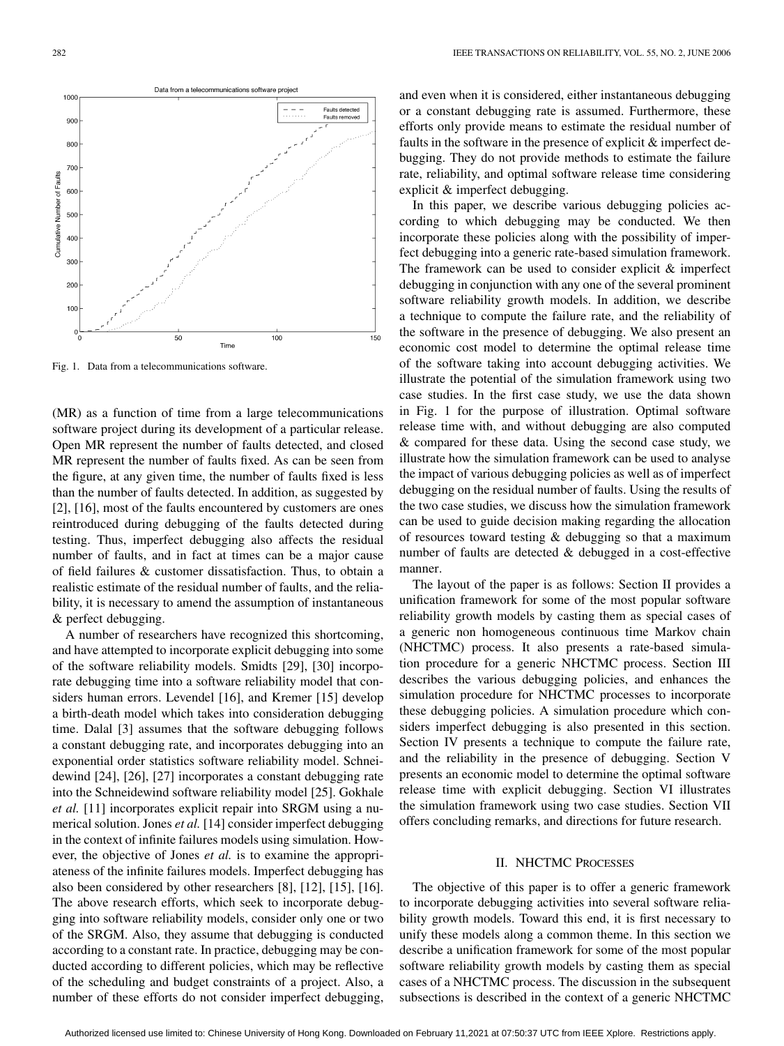<span id="page-1-0"></span>

Fig. 1. Data from a telecommunications software.

(MR) as a function of time from a large telecommunications software project during its development of a particular release. Open MR represent the number of faults detected, and closed MR represent the number of faults fixed. As can be seen from the figure, at any given time, the number of faults fixed is less than the number of faults detected. In addition, as suggested by [\[2\]](#page-10-0), [\[16\],](#page-11-0) most of the faults encountered by customers are ones reintroduced during debugging of the faults detected during testing. Thus, imperfect debugging also affects the residual number of faults, and in fact at times can be a major cause of field failures & customer dissatisfaction. Thus, to obtain a realistic estimate of the residual number of faults, and the reliability, it is necessary to amend the assumption of instantaneous & perfect debugging.

A number of researchers have recognized this shortcoming, and have attempted to incorporate explicit debugging into some of the software reliability models. Smidts [\[29\]](#page-11-0), [\[30\]](#page-11-0) incorporate debugging time into a software reliability model that considers human errors. Levendel [\[16\]](#page-11-0), and Kremer [\[15\]](#page-10-0) develop a birth-death model which takes into consideration debugging time. Dalal [\[3\]](#page-10-0) assumes that the software debugging follows a constant debugging rate, and incorporates debugging into an exponential order statistics software reliability model. Schneidewind [\[24\]](#page-11-0), [\[26\]](#page-11-0), [\[27\]](#page-11-0) incorporates a constant debugging rate into the Schneidewind software reliability model [\[25\]](#page-11-0). Gokhale *et al.* [\[11\]](#page-10-0) incorporates explicit repair into SRGM using a numerical solution. Jones *et al.* [\[14\]](#page-10-0) consider imperfect debugging in the context of infinite failures models using simulation. However, the objective of Jones *et al.* is to examine the appropriateness of the infinite failures models. Imperfect debugging has also been considered by other researchers [\[8\]](#page-10-0), [\[12\]](#page-10-0), [\[15\]](#page-10-0), [\[16\]](#page-11-0). The above research efforts, which seek to incorporate debugging into software reliability models, consider only one or two of the SRGM. Also, they assume that debugging is conducted according to a constant rate. In practice, debugging may be conducted according to different policies, which may be reflective of the scheduling and budget constraints of a project. Also, a number of these efforts do not consider imperfect debugging,

and even when it is considered, either instantaneous debugging or a constant debugging rate is assumed. Furthermore, these efforts only provide means to estimate the residual number of faults in the software in the presence of explicit & imperfect debugging. They do not provide methods to estimate the failure rate, reliability, and optimal software release time considering explicit & imperfect debugging.

In this paper, we describe various debugging policies according to which debugging may be conducted. We then incorporate these policies along with the possibility of imperfect debugging into a generic rate-based simulation framework. The framework can be used to consider explicit & imperfect debugging in conjunction with any one of the several prominent software reliability growth models. In addition, we describe a technique to compute the failure rate, and the reliability of the software in the presence of debugging. We also present an economic cost model to determine the optimal release time of the software taking into account debugging activities. We illustrate the potential of the simulation framework using two case studies. In the first case study, we use the data shown in Fig. 1 for the purpose of illustration. Optimal software release time with, and without debugging are also computed & compared for these data. Using the second case study, we illustrate how the simulation framework can be used to analyse the impact of various debugging policies as well as of imperfect debugging on the residual number of faults. Using the results of the two case studies, we discuss how the simulation framework can be used to guide decision making regarding the allocation of resources toward testing & debugging so that a maximum number of faults are detected & debugged in a cost-effective manner.

The layout of the paper is as follows: Section II provides a unification framework for some of the most popular software reliability growth models by casting them as special cases of a generic non homogeneous continuous time Markov chain (NHCTMC) process. It also presents a rate-based simulation procedure for a generic NHCTMC process. [Section III](#page-3-0) describes the various debugging policies, and enhances the simulation procedure for NHCTMC processes to incorporate these debugging policies. A simulation procedure which considers imperfect debugging is also presented in this section. [Section IV](#page-5-0) presents a technique to compute the failure rate, and the reliability in the presence of debugging. [Section V](#page-6-0) presents an economic model to determine the optimal software release time with explicit debugging. [Section VI](#page-6-0) illustrates the simulation framework using two case studies. [Section VII](#page-10-0) offers concluding remarks, and directions for future research.

## II. NHCTMC PROCESSES

The objective of this paper is to offer a generic framework to incorporate debugging activities into several software reliability growth models. Toward this end, it is first necessary to unify these models along a common theme. In this section we describe a unification framework for some of the most popular software reliability growth models by casting them as special cases of a NHCTMC process. The discussion in the subsequent subsections is described in the context of a generic NHCTMC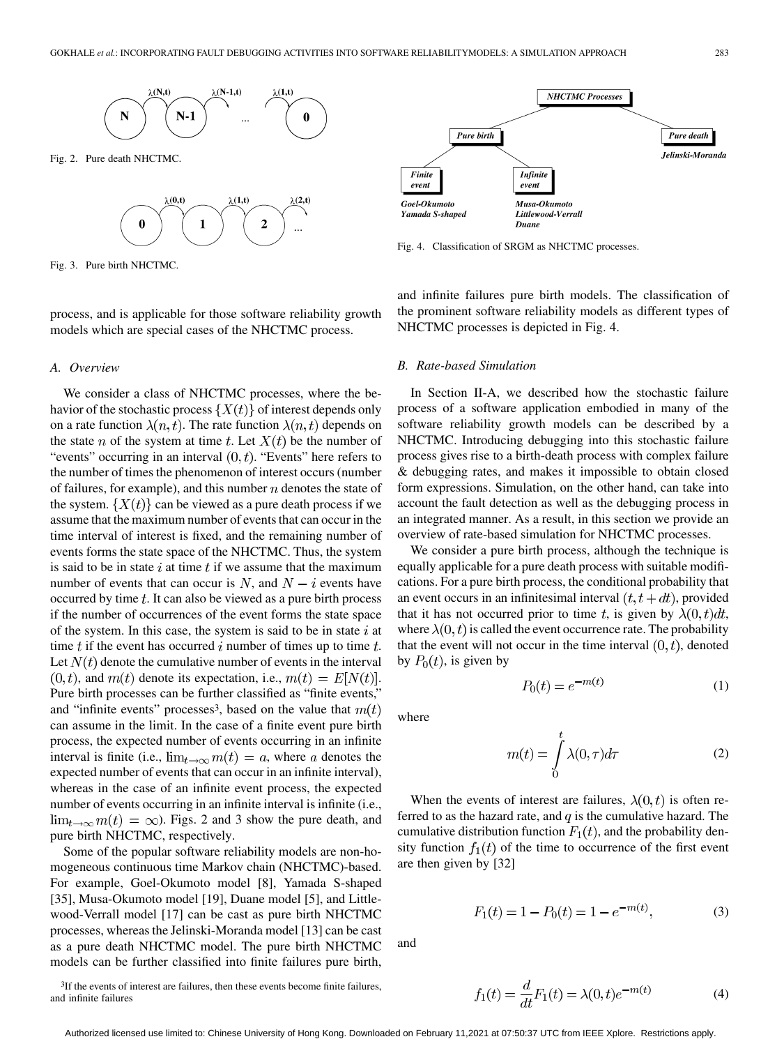

Fig. 2. Pure death NHCTMC.



Fig. 3. Pure birth NHCTMC.

process, and is applicable for those software reliability growth models which are special cases of the NHCTMC process.

#### *A. Overview*

and infinite failures

We consider a class of NHCTMC processes, where the behavior of the stochastic process  $\{X(t)\}\$  of interest depends only on a rate function  $\lambda(n, t)$ . The rate function  $\lambda(n, t)$  depends on the state *n* of the system at time *t*. Let  $X(t)$  be the number of "events" occurring in an interval  $(0, t)$ . "Events" here refers to the number of times the phenomenon of interest occurs (number of failures, for example), and this number  $n$  denotes the state of the system.  $\{X(t)\}\$ can be viewed as a pure death process if we assume that the maximum number of events that can occur in the time interval of interest is fixed, and the remaining number of events forms the state space of the NHCTMC. Thus, the system is said to be in state  $i$  at time  $t$  if we assume that the maximum number of events that can occur is N, and  $N - i$  events have occurred by time  $t$ . It can also be viewed as a pure birth process if the number of occurrences of the event forms the state space of the system. In this case, the system is said to be in state  $i$  at time  $t$  if the event has occurred  $i$  number of times up to time  $t$ . Let  $N(t)$  denote the cumulative number of events in the interval  $(0, t)$ , and  $m(t)$  denote its expectation, i.e.,  $m(t) = E[N(t)]$ . Pure birth processes can be further classified as "finite events," and "infinite events" processes<sup>3</sup>, based on the value that  $m(t)$ can assume in the limit. In the case of a finite event pure birth process, the expected number of events occurring in an infinite interval is finite (i.e.,  $\lim_{t\to\infty} m(t) = a$ , where a denotes the expected number of events that can occur in an infinite interval), whereas in the case of an infinite event process, the expected number of events occurring in an infinite interval is infinite (i.e.,  $\lim_{t\to\infty} m(t) = \infty$ ). Figs. 2 and 3 show the pure death, and pure birth NHCTMC, respectively.

Some of the popular software reliability models are non-homogeneous continuous time Markov chain (NHCTMC)-based. For example, Goel-Okumoto model [\[8\],](#page-10-0) Yamada S-shaped [\[35\],](#page-11-0) Musa-Okumoto model [\[19\],](#page-11-0) Duane model [\[5\]](#page-10-0), and Littlewood-Verrall model [\[17\]](#page-11-0) can be cast as pure birth NHCTMC processes, whereas the Jelinski-Moranda model [\[13\]](#page-10-0) can be cast as a pure death NHCTMC model. The pure birth NHCTMC models can be further classified into finite failures pure birth,

<sup>3</sup>If the events of interest are failures, then these events become finite failures,

 $P_0(t) = e^{-m(t)}$ where

> $m(t) = \int_{0}^{t} \lambda(0, \tau) d\tau$ (2)

(1)

When the events of interest are failures,  $\lambda(0, t)$  is often referred to as the hazard rate, and  $q$  is the cumulative hazard. The cumulative distribution function  $F_1(t)$ , and the probability density function  $f_1(t)$  of the time to occurrence of the first event are then given by [\[32\]](#page-11-0)

$$
F_1(t) = 1 - P_0(t) = 1 - e^{-m(t)},
$$
\n(3)

and

$$
f_1(t) = \frac{d}{dt}F_1(t) = \lambda(0, t)e^{-m(t)}
$$
 (4)



Fig. 4. Classification of SRGM as NHCTMC processes.

and infinite failures pure birth models. The classification of the prominent software reliability models as different types of NHCTMC processes is depicted in Fig. 4.

## *B. Rate-based Simulation*

In Section II-A, we described how the stochastic failure process of a software application embodied in many of the software reliability growth models can be described by a NHCTMC. Introducing debugging into this stochastic failure process gives rise to a birth-death process with complex failure & debugging rates, and makes it impossible to obtain closed form expressions. Simulation, on the other hand, can take into account the fault detection as well as the debugging process in an integrated manner. As a result, in this section we provide an overview of rate-based simulation for NHCTMC processes.

We consider a pure birth process, although the technique is equally applicable for a pure death process with suitable modifications. For a pure birth process, the conditional probability that an event occurs in an infinitesimal interval  $(t, t+dt)$ , provided that it has not occurred prior to time t, is given by  $\lambda(0, t)dt$ , where  $\lambda(0, t)$  is called the event occurrence rate. The probability that the event will not occur in the time interval  $(0, t)$ , denoted by  $P_0(t)$ , is given by

Authorized licensed use limited to: Chinese University of Hong Kong. Downloaded on February 11,2021 at 07:50:37 UTC from IEEE Xplore. Restrictions apply.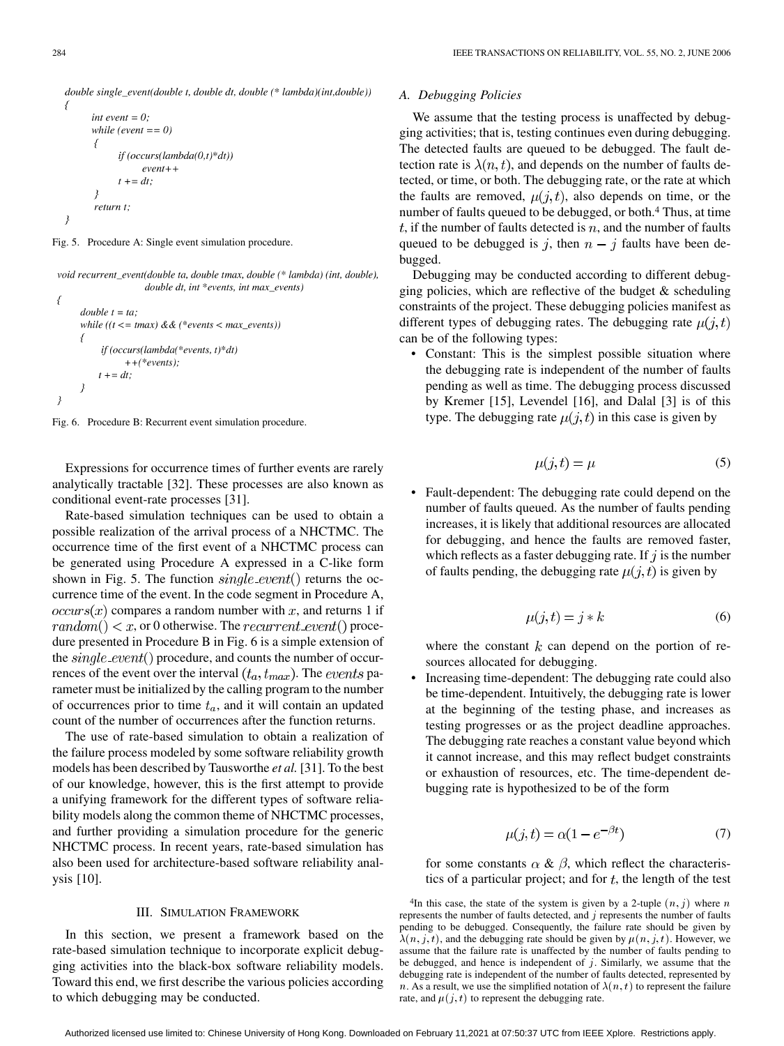<span id="page-3-0"></span>double single\_event(double t, double dt, double (\* lambda)(int,double))  $\big\{$ 

```
int event = 0;
while (event == 0)
\overline{f}if (occurs(lambda(0,t)*dt))event++t + = dt.
\overline{y}return t:
```
Fig. 5. Procedure A: Single event simulation procedure.

void recurrent\_event(double ta, double tmax, double (\* lambda) (int, double), double dt, int \*events, int max events)

```
ſ
      double t = ta;
      while ((t \leq t \text{max}) \& (``events < max_events))\overline{\mathcal{L}}if (occurs(lambda(*events, t)*dt)
                    ++(*events):t + = dt:
}
```
Fig. 6. Procedure B: Recurrent event simulation procedure.

Expressions for occurrence times of further events are rarely analytically tractable [\[32\]](#page-11-0). These processes are also known as conditional event-rate processes [\[31\].](#page-11-0)

Rate-based simulation techniques can be used to obtain a possible realization of the arrival process of a NHCTMC. The occurrence time of the first event of a NHCTMC process can be generated using Procedure A expressed in a C-like form shown in Fig. 5. The function  $single\_event()$  returns the occurrence time of the event. In the code segment in Procedure A,  $occurs(x)$  compares a random number with x, and returns 1 if  $random() < x$ , or 0 otherwise. The *recurrent\_event*() procedure presented in Procedure B in Fig. 6 is a simple extension of the *single event*() procedure, and counts the number of occurrences of the event over the interval  $(t_a, t_{max})$ . The *events* parameter must be initialized by the calling program to the number of occurrences prior to time  $t_a$ , and it will contain an updated count of the number of occurrences after the function returns.

The use of rate-based simulation to obtain a realization of the failure process modeled by some software reliability growth models has been described by Tausworthe *et al.* [\[31\].](#page-11-0) To the best of our knowledge, however, this is the first attempt to provide a unifying framework for the different types of software reliability models along the common theme of NHCTMC processes, and further providing a simulation procedure for the generic NHCTMC process. In recent years, rate-based simulation has also been used for architecture-based software reliability analysis [\[10\].](#page-10-0)

#### III. SIMULATION FRAMEWORK

In this section, we present a framework based on the rate-based simulation technique to incorporate explicit debugging activities into the black-box software reliability models. Toward this end, we first describe the various policies according to which debugging may be conducted.

#### *A. Debugging Policies*

We assume that the testing process is unaffected by debugging activities; that is, testing continues even during debugging. The detected faults are queued to be debugged. The fault detection rate is  $\lambda(n, t)$ , and depends on the number of faults detected, or time, or both. The debugging rate, or the rate at which the faults are removed,  $\mu(j, t)$ , also depends on time, or the number of faults queued to be debugged, or both.<sup>4</sup> Thus, at time  $t$ , if the number of faults detected is  $n$ , and the number of faults queued to be debugged is j, then  $n - j$  faults have been debugged.

Debugging may be conducted according to different debugging policies, which are reflective of the budget  $&$  scheduling constraints of the project. These debugging policies manifest as different types of debugging rates. The debugging rate  $\mu(j, t)$ can be of the following types:

• Constant: This is the simplest possible situation where the debugging rate is independent of the number of faults pending as well as time. The debugging process discussed by Kremer [\[15\]](#page-10-0), Levendel [\[16\],](#page-11-0) and Dalal [\[3\]](#page-10-0) is of this type. The debugging rate  $\mu(j, t)$  in this case is given by

$$
\mu(j, t) = \mu \tag{5}
$$

• Fault-dependent: The debugging rate could depend on the number of faults queued. As the number of faults pending increases, it is likely that additional resources are allocated for debugging, and hence the faults are removed faster, which reflects as a faster debugging rate. If  $j$  is the number of faults pending, the debugging rate  $\mu(j, t)$  is given by

$$
\mu(j,t) = j * k \tag{6}
$$

where the constant  $k$  can depend on the portion of resources allocated for debugging.

• Increasing time-dependent: The debugging rate could also be time-dependent. Intuitively, the debugging rate is lower at the beginning of the testing phase, and increases as testing progresses or as the project deadline approaches. The debugging rate reaches a constant value beyond which it cannot increase, and this may reflect budget constraints or exhaustion of resources, etc. The time-dependent debugging rate is hypothesized to be of the form

$$
\mu(j,t) = \alpha(1 - e^{-\beta t})\tag{7}
$$

for some constants  $\alpha \& \beta$ , which reflect the characteristics of a particular project; and for  $t$ , the length of the test

<sup>4</sup>In this case, the state of the system is given by a 2-tuple  $(n, j)$  where n represents the number of faults detected, and  $j$  represents the number of faults pending to be debugged. Consequently, the failure rate should be given by  $\lambda(n, j, t)$ , and the debugging rate should be given by  $\mu(n, j, t)$ . However, we assume that the failure rate is unaffected by the number of faults pending to be debugged, and hence is independent of  $j$ . Similarly, we assume that the debugging rate is independent of the number of faults detected, represented by n. As a result, we use the simplified notation of  $\lambda(n, t)$  to represent the failure rate, and  $\mu(j, t)$  to represent the debugging rate.

 $\overline{\phantom{a}}$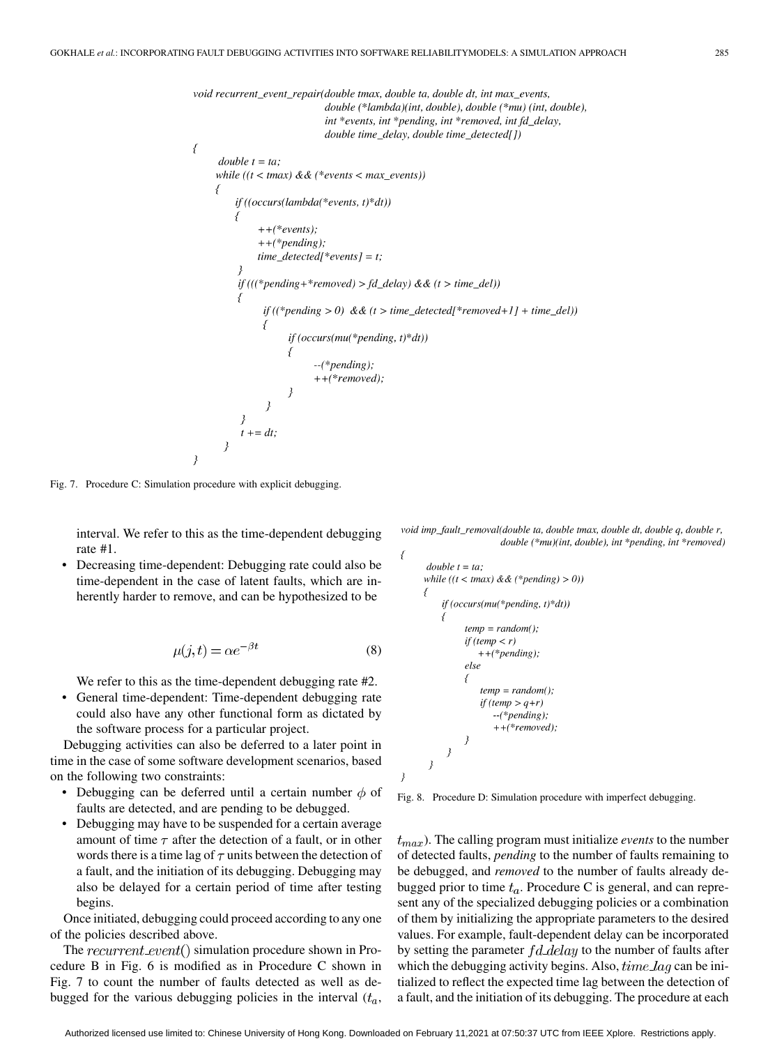```
void recurrent_event_repair(double tmax, double ta, double dt, int max_events,
                               double (*lambda)(int, double), double (*mu) (int, double),
                               int *events, int *pending, int *removed, int fd_delay,
                               double time_delay, double time_detected[])
\{double t = ta:
     while ((t < max) \&amp; \&amp; (*events < max_events))\left\{ \right.if ((occurs(lambda(*events, t)*dt))\overline{\mathcal{L}}++(*events);++(*pending);time\_detected[*events] = t;
          if (((*pending+*removed)>fd\_delay) \& (t > time\_del))if ((*pending > 0) \& (t > time\_detected[*removed+1] + time\_del))if (occurs(mu(*pending, t)*dt))-(*pending);++(*removed);\overline{\phantom{a}}t + = dt;
}
```
₹

Fig. 7. Procedure C: Simulation procedure with explicit debugging.

interval. We refer to this as the time-dependent debugging rate #1.

• Decreasing time-dependent: Debugging rate could also be time-dependent in the case of latent faults, which are inherently harder to remove, and can be hypothesized to be

$$
\mu(j, t) = \alpha e^{-\beta t} \tag{8}
$$

We refer to this as the time-dependent debugging rate #2.

• General time-dependent: Time-dependent debugging rate could also have any other functional form as dictated by the software process for a particular project.

Debugging activities can also be deferred to a later point in time in the case of some software development scenarios, based on the following two constraints:

- Debugging can be deferred until a certain number  $\phi$  of faults are detected, and are pending to be debugged.
- Debugging may have to be suspended for a certain average amount of time  $\tau$  after the detection of a fault, or in other words there is a time lag of  $\tau$  units between the detection of a fault, and the initiation of its debugging. Debugging may also be delayed for a certain period of time after testing begins.

Once initiated, debugging could proceed according to any one of the policies described above.

The recurrent event() simulation procedure shown in Procedure B in [Fig. 6](#page-3-0) is modified as in Procedure C shown in Fig. 7 to count the number of faults detected as well as debugged for the various debugging policies in the interval  $(t_a,$ 

void imp\_fault\_removal(double ta, double tmax, double dt, double q, double r, double (\*mu)(int, double), int \*pending, int \*removed)

```
double t = ta;
while ((t < tmax) \&amp; \&amp; (*pending) &gt; 0))ſ
     if (occurs(mu(*pending, t)*dt))
           temp = random()if (temp \langle r \rangle++(*pending);else
           \overline{'}temp = random();if temp > q+r)
                   -(*pending);++(*removed);3
 \mathcal{E}
```
Fig. 8. Procedure D: Simulation procedure with imperfect debugging.

). The calling program must initialize *events* to the number of detected faults, *pending* to the number of faults remaining to be debugged, and *removed* to the number of faults already debugged prior to time  $t_a$ . Procedure C is general, and can represent any of the specialized debugging policies or a combination of them by initializing the appropriate parameters to the desired values. For example, fault-dependent delay can be incorporated by setting the parameter  $fd$  delay to the number of faults after which the debugging activity begins. Also,  $time \, lag$  can be initialized to reflect the expected time lag between the detection of a fault, and the initiation of its debugging. The procedure at each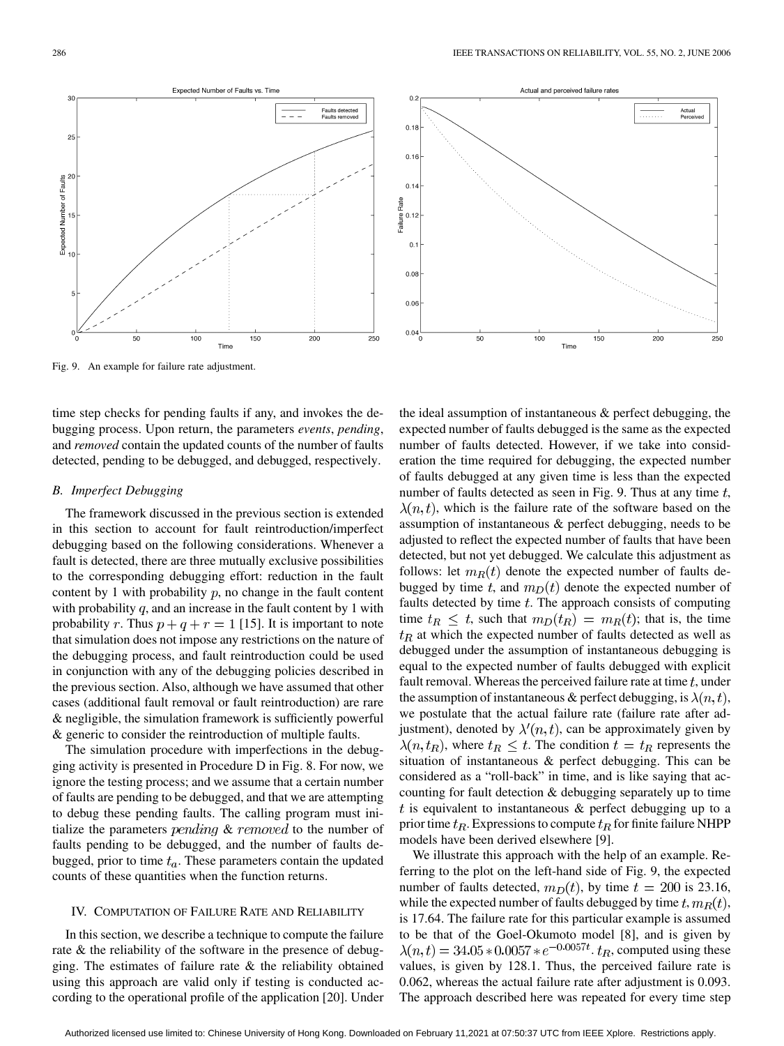<span id="page-5-0"></span>



Fig. 9. An example for failure rate adjustment.

time step checks for pending faults if any, and invokes the debugging process. Upon return, the parameters *events*, *pending*, and *removed* contain the updated counts of the number of faults detected, pending to be debugged, and debugged, respectively.

#### *B. Imperfect Debugging*

The framework discussed in the previous section is extended in this section to account for fault reintroduction/imperfect debugging based on the following considerations. Whenever a fault is detected, there are three mutually exclusive possibilities to the corresponding debugging effort: reduction in the fault content by 1 with probability  $p$ , no change in the fault content with probability  $q$ , and an increase in the fault content by 1 with probability r. Thus  $p + q + r = 1$  [\[15\].](#page-10-0) It is important to note that simulation does not impose any restrictions on the nature of the debugging process, and fault reintroduction could be used in conjunction with any of the debugging policies described in the previous section. Also, although we have assumed that other cases (additional fault removal or fault reintroduction) are rare & negligible, the simulation framework is sufficiently powerful & generic to consider the reintroduction of multiple faults.

The simulation procedure with imperfections in the debugging activity is presented in Procedure D in [Fig. 8](#page-4-0). For now, we ignore the testing process; and we assume that a certain number of faults are pending to be debugged, and that we are attempting to debug these pending faults. The calling program must initialize the parameters *pending* & *removed* to the number of faults pending to be debugged, and the number of faults debugged, prior to time  $t_a$ . These parameters contain the updated counts of these quantities when the function returns.

#### IV. COMPUTATION OF FAILURE RATE AND RELIABILITY

In this section, we describe a technique to compute the failure rate & the reliability of the software in the presence of debugging. The estimates of failure rate  $\&$  the reliability obtained using this approach are valid only if testing is conducted according to the operational profile of the application [\[20\].](#page-11-0) Under

the ideal assumption of instantaneous & perfect debugging, the expected number of faults debugged is the same as the expected number of faults detected. However, if we take into consideration the time required for debugging, the expected number of faults debugged at any given time is less than the expected number of faults detected as seen in Fig. 9. Thus at any time  $t$ ,  $\lambda(n, t)$ , which is the failure rate of the software based on the assumption of instantaneous & perfect debugging, needs to be adjusted to reflect the expected number of faults that have been detected, but not yet debugged. We calculate this adjustment as follows: let  $m_R(t)$  denote the expected number of faults debugged by time t, and  $m_D(t)$  denote the expected number of faults detected by time  $t$ . The approach consists of computing time  $t_R \leq t$ , such that  $m_D(t_R) = m_R(t)$ ; that is, the time  $t_R$  at which the expected number of faults detected as well as debugged under the assumption of instantaneous debugging is equal to the expected number of faults debugged with explicit fault removal. Whereas the perceived failure rate at time  $t$ , under the assumption of instantaneous & perfect debugging, is  $\lambda(n, t)$ , we postulate that the actual failure rate (failure rate after adjustment), denoted by  $\lambda'(n, t)$ , can be approximately given by  $\lambda(n, t_R)$ , where  $t_R \leq t$ . The condition  $t = t_R$  represents the situation of instantaneous & perfect debugging. This can be considered as a "roll-back" in time, and is like saying that accounting for fault detection & debugging separately up to time  $t$  is equivalent to instantaneous  $\&$  perfect debugging up to a prior time  $t_R$ . Expressions to compute  $t_R$  for finite failure NHPP models have been derived elsewhere [\[9\].](#page-10-0)

We illustrate this approach with the help of an example. Referring to the plot on the left-hand side of Fig. 9, the expected number of faults detected,  $m_D(t)$ , by time  $t = 200$  is 23.16, while the expected number of faults debugged by time  $t, m_R(t)$ , is 17.64. The failure rate for this particular example is assumed to be that of the Goel-Okumoto model [\[8\],](#page-10-0) and is given by  $\lambda(n, t) = 34.05 * 0.0057 * e^{-0.0057t}$ .  $t_R$ , computed using these values, is given by 128.1. Thus, the perceived failure rate is 0.062, whereas the actual failure rate after adjustment is 0.093. The approach described here was repeated for every time step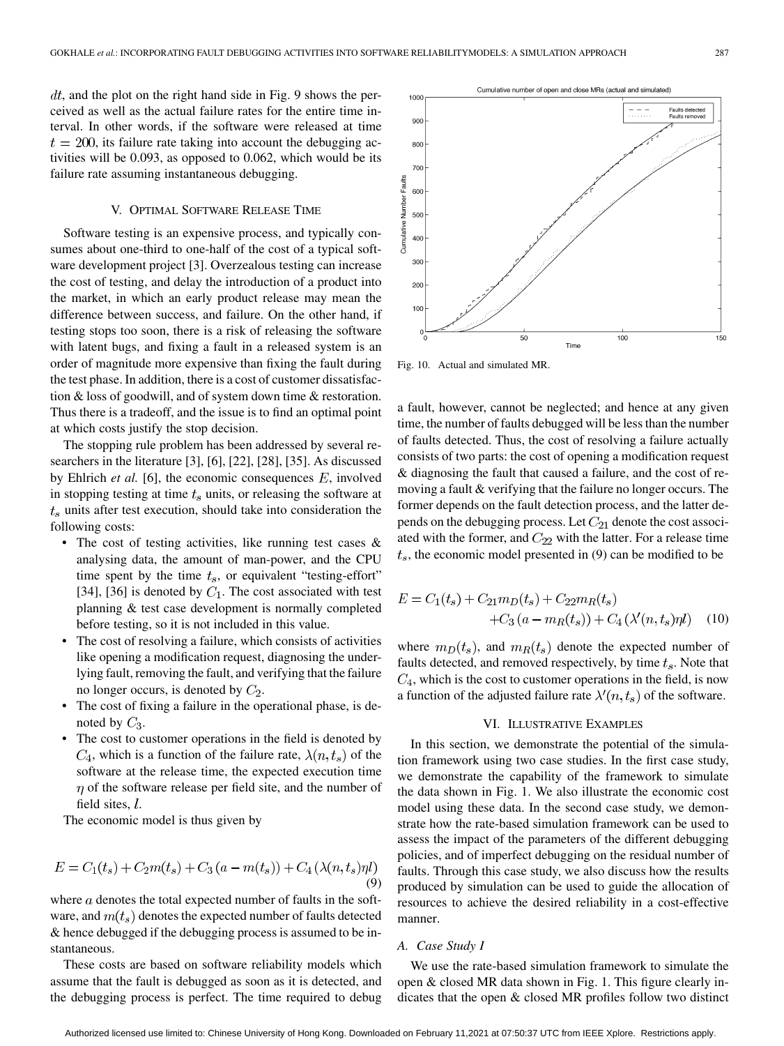<span id="page-6-0"></span> $dt$ , and the plot on the right hand side in [Fig. 9](#page-5-0) shows the perceived as well as the actual failure rates for the entire time interval. In other words, if the software were released at time  $t = 200$ , its failure rate taking into account the debugging activities will be 0.093, as opposed to 0.062, which would be its failure rate assuming instantaneous debugging.

## V. OPTIMAL SOFTWARE RELEASE TIME

Software testing is an expensive process, and typically consumes about one-third to one-half of the cost of a typical software development project [\[3\].](#page-10-0) Overzealous testing can increase the cost of testing, and delay the introduction of a product into the market, in which an early product release may mean the difference between success, and failure. On the other hand, if testing stops too soon, there is a risk of releasing the software with latent bugs, and fixing a fault in a released system is an order of magnitude more expensive than fixing the fault during the test phase. In addition, there is a cost of customer dissatisfaction & loss of goodwill, and of system down time & restoration. Thus there is a tradeoff, and the issue is to find an optimal point at which costs justify the stop decision.

The stopping rule problem has been addressed by several researchers in the literature [\[3\]](#page-10-0), [\[6\]](#page-10-0), [\[22\], \[28\]](#page-11-0), [\[35\].](#page-11-0) As discussed by Ehlrich *et al.* [\[6\],](#page-10-0) the economic consequences  $E$ , involved in stopping testing at time  $t_s$  units, or releasing the software at  $t<sub>s</sub>$  units after test execution, should take into consideration the following costs:

- The cost of testing activities, like running test cases & analysing data, the amount of man-power, and the CPU time spent by the time  $t_s$ , or equivalent "testing-effort" [\[34\], \[36\]](#page-11-0) is denoted by  $C_1$ . The cost associated with test planning & test case development is normally completed before testing, so it is not included in this value.
- The cost of resolving a failure, which consists of activities like opening a modification request, diagnosing the underlying fault, removing the fault, and verifying that the failure no longer occurs, is denoted by  $C_2$ .
- The cost of fixing a failure in the operational phase, is denoted by  $C_3$ .
- The cost to customer operations in the field is denoted by  $C_4$ , which is a function of the failure rate,  $\lambda(n, t_s)$  of the software at the release time, the expected execution time  $\eta$  of the software release per field site, and the number of field sites,  $l$ .

The economic model is thus given by

$$
E = C_1(t_s) + C_2m(t_s) + C_3(a - m(t_s)) + C_4(\lambda(n, t_s)\eta l)
$$
\n(9)

where  $a$  denotes the total expected number of faults in the software, and  $m(t_s)$  denotes the expected number of faults detected & hence debugged if the debugging process is assumed to be instantaneous.

These costs are based on software reliability models which assume that the fault is debugged as soon as it is detected, and the debugging process is perfect. The time required to debug



Fig. 10. Actual and simulated MR.

a fault, however, cannot be neglected; and hence at any given time, the number of faults debugged will be less than the number of faults detected. Thus, the cost of resolving a failure actually consists of two parts: the cost of opening a modification request & diagnosing the fault that caused a failure, and the cost of removing a fault & verifying that the failure no longer occurs. The former depends on the fault detection process, and the latter depends on the debugging process. Let  $C_{21}$  denote the cost associated with the former, and  $C_{22}$  with the latter. For a release time  $t<sub>s</sub>$ , the economic model presented in (9) can be modified to be

$$
E = C_1(t_s) + C_{21}m_D(t_s) + C_{22}m_R(t_s)
$$
  
+
$$
C_3(a - m_R(t_s)) + C_4(\lambda'(n, t_s)\eta l)
$$
 (10)

where  $m_D(t_s)$ , and  $m_R(t_s)$  denote the expected number of faults detected, and removed respectively, by time  $t_s$ . Note that  $C_4$ , which is the cost to customer operations in the field, is now a function of the adjusted failure rate  $\lambda'(n, t_s)$  of the software.

#### VI. ILLUSTRATIVE EXAMPLES

In this section, we demonstrate the potential of the simulation framework using two case studies. In the first case study, we demonstrate the capability of the framework to simulate the data shown in [Fig. 1.](#page-1-0) We also illustrate the economic cost model using these data. In the second case study, we demonstrate how the rate-based simulation framework can be used to assess the impact of the parameters of the different debugging policies, and of imperfect debugging on the residual number of faults. Through this case study, we also discuss how the results produced by simulation can be used to guide the allocation of resources to achieve the desired reliability in a cost-effective manner.

# *A. Case Study I*

We use the rate-based simulation framework to simulate the open & closed MR data shown in [Fig. 1](#page-1-0). This figure clearly indicates that the open & closed MR profiles follow two distinct

Authorized licensed use limited to: Chinese University of Hong Kong. Downloaded on February 11,2021 at 07:50:37 UTC from IEEE Xplore. Restrictions apply.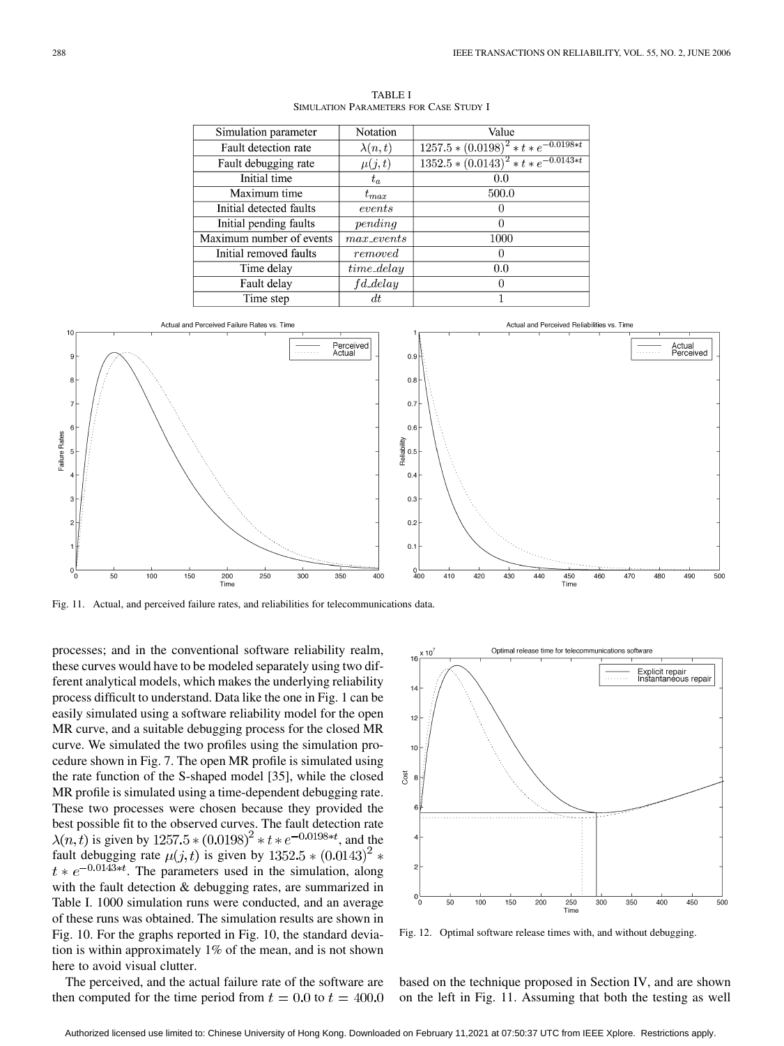<span id="page-7-0"></span>

| Simulation parameter     | Notation       | Value                                         |
|--------------------------|----------------|-----------------------------------------------|
| Fault detection rate     | $\lambda(n,t)$ | $1257.5 * (0.0198)^{2} * t * e^{-0.0198*t}$   |
| Fault debugging rate     | $\mu(j,t)$     | $1352.5 * (0.0143)^{2} * t * e^{-0.0143 * t}$ |
| Initial time             | $t_a$          | 0.0                                           |
| Maximum time             | $t_{max}$      | 500.0                                         |
| Initial detected faults  | events         |                                               |
| Initial pending faults   | pending        | $\theta$                                      |
| Maximum number of events | $max\_events$  | 1000                                          |
| Initial removed faults   | removed        | 0                                             |
| Time delay               | $time\_delay$  | 0.0                                           |
| Fault delay              | $fd\_delay$    | 0                                             |
| Time step                | dt             |                                               |

TABLE I SIMULATION PARAMETERS FOR CASE STUDY I



Fig. 11. Actual, and perceived failure rates, and reliabilities for telecommunications data.

processes; and in the conventional software reliability realm, these curves would have to be modeled separately using two different analytical models, which makes the underlying reliability process difficult to understand. Data like the one in [Fig. 1](#page-1-0) can be easily simulated using a software reliability model for the open MR curve, and a suitable debugging process for the closed MR curve. We simulated the two profiles using the simulation procedure shown in [Fig. 7](#page-4-0). The open MR profile is simulated using the rate function of the S-shaped model [\[35\]](#page-11-0), while the closed MR profile is simulated using a time-dependent debugging rate. These two processes were chosen because they provided the best possible fit to the observed curves. The fault detection rate  $\lambda(n, t)$  is given by  $1257.5 * (0.0198)^{2} * t * e^{-0.0198 * t}$ , and the fault debugging rate  $\mu(j, t)$  is given by  $1352.5 * (0.0143)^2 *$  $t * e^{-0.0143*t}$ . The parameters used in the simulation, along with the fault detection & debugging rates, are summarized in Table I. 1000 simulation runs were conducted, and an average of these runs was obtained. The simulation results are shown in [Fig. 10](#page-6-0). For the graphs reported in [Fig. 10](#page-6-0), the standard deviation is within approximately 1% of the mean, and is not shown here to avoid visual clutter.



Fig. 12. Optimal software release times with, and without debugging.

The perceived, and the actual failure rate of the software are then computed for the time period from  $t = 0.0$  to  $t = 400.0$  based on the technique proposed in [Section IV](#page-5-0), and are shown on the left in Fig. 11. Assuming that both the testing as well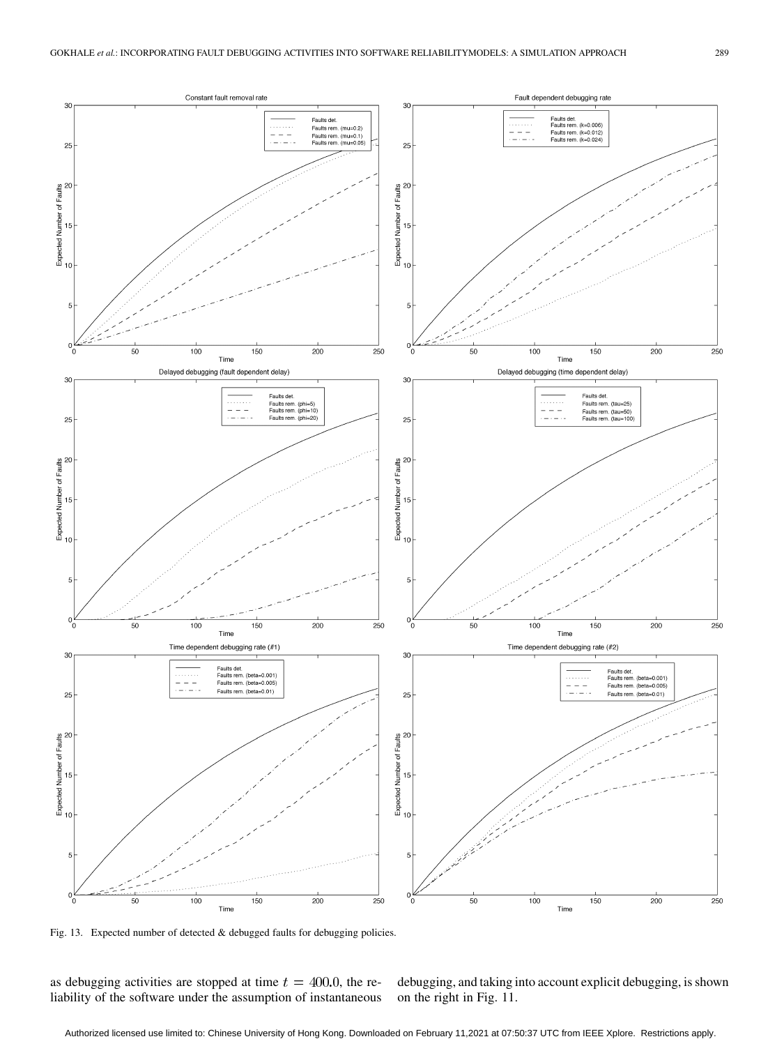<span id="page-8-0"></span>

Fig. 13. Expected number of detected & debugged faults for debugging policies.

as debugging activities are stopped at time  $t = 400.0$ , the reliability of the software under the assumption of instantaneous debugging, and taking into account explicit debugging, is shown on the right in [Fig. 11](#page-7-0).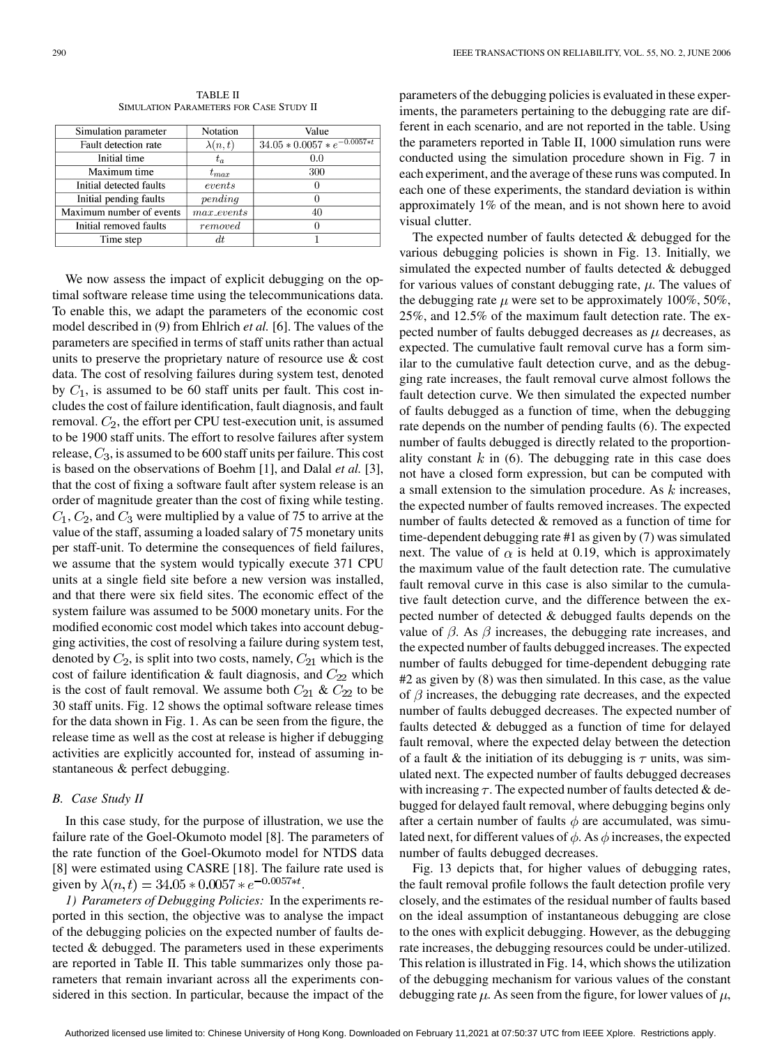| <b>TABLE II</b>                                |  |
|------------------------------------------------|--|
| <b>SIMULATION PARAMETERS FOR CASE STUDY II</b> |  |

| Simulation parameter     | Notation       | Value                              |
|--------------------------|----------------|------------------------------------|
| Fault detection rate     | $\lambda(n,t)$ | $34.05 * 0.0057 * e^{-0.0057 * t}$ |
| Initial time             | $t_a$          | 0.0                                |
| Maximum time             | $t_{max}$      | 300                                |
| Initial detected faults  | events         |                                    |
| Initial pending faults   | pending        |                                    |
| Maximum number of events | $max\_events$  | 40                                 |
| Initial removed faults   | removed        |                                    |
| Time step                | dt             |                                    |

We now assess the impact of explicit debugging on the optimal software release time using the telecommunications data. To enable this, we adapt the parameters of the economic cost model described in [\(9\)](#page-6-0) from Ehlrich *et al.* [\[6\].](#page-10-0) The values of the parameters are specified in terms of staff units rather than actual units to preserve the proprietary nature of resource use & cost data. The cost of resolving failures during system test, denoted by  $C_1$ , is assumed to be 60 staff units per fault. This cost includes the cost of failure identification, fault diagnosis, and fault removal.  $C_2$ , the effort per CPU test-execution unit, is assumed to be 1900 staff units. The effort to resolve failures after system release,  $C_3$ , is assumed to be 600 staff units per failure. This cost is based on the observations of Boehm [\[1\],](#page-10-0) and Dalal *et al.* [\[3\]](#page-10-0), that the cost of fixing a software fault after system release is an order of magnitude greater than the cost of fixing while testing.  $C_1$ ,  $C_2$ , and  $C_3$  were multiplied by a value of 75 to arrive at the value of the staff, assuming a loaded salary of 75 monetary units per staff-unit. To determine the consequences of field failures, we assume that the system would typically execute 371 CPU units at a single field site before a new version was installed, and that there were six field sites. The economic effect of the system failure was assumed to be 5000 monetary units. For the modified economic cost model which takes into account debugging activities, the cost of resolving a failure during system test, denoted by  $C_2$ , is split into two costs, namely,  $C_{21}$  which is the cost of failure identification & fault diagnosis, and  $C_{22}$  which is the cost of fault removal. We assume both  $C_{21}$  &  $C_{22}$  to be 30 staff units. [Fig. 12](#page-7-0) shows the optimal software release times for the data shown in [Fig. 1](#page-1-0). As can be seen from the figure, the release time as well as the cost at release is higher if debugging activities are explicitly accounted for, instead of assuming instantaneous & perfect debugging.

## *B. Case Study II*

In this case study, for the purpose of illustration, we use the failure rate of the Goel-Okumoto model [\[8\]](#page-10-0). The parameters of the rate function of the Goel-Okumoto model for NTDS data [\[8\]](#page-10-0) were estimated using CASRE [\[18\].](#page-11-0) The failure rate used is given by  $\lambda(n,t) = 34.05 * 0.0057 * e^{-0.0057 * t}$ .

*1) Parameters of Debugging Policies:* In the experiments reported in this section, the objective was to analyse the impact of the debugging policies on the expected number of faults detected & debugged. The parameters used in these experiments are reported in Table II. This table summarizes only those parameters that remain invariant across all the experiments considered in this section. In particular, because the impact of the parameters of the debugging policies is evaluated in these experiments, the parameters pertaining to the debugging rate are different in each scenario, and are not reported in the table. Using the parameters reported in Table II, 1000 simulation runs were conducted using the simulation procedure shown in [Fig. 7](#page-4-0) in each experiment, and the average of these runs was computed. In each one of these experiments, the standard deviation is within approximately 1% of the mean, and is not shown here to avoid visual clutter.

The expected number of faults detected & debugged for the various debugging policies is shown in [Fig. 13](#page-8-0). Initially, we simulated the expected number of faults detected & debugged for various values of constant debugging rate,  $\mu$ . The values of the debugging rate  $\mu$  were set to be approximately 100%, 50%, 25%, and 12.5% of the maximum fault detection rate. The expected number of faults debugged decreases as  $\mu$  decreases, as expected. The cumulative fault removal curve has a form similar to the cumulative fault detection curve, and as the debugging rate increases, the fault removal curve almost follows the fault detection curve. We then simulated the expected number of faults debugged as a function of time, when the debugging rate depends on the number of pending faults [\(6\).](#page-3-0) The expected number of faults debugged is directly related to the proportionality constant  $k$  in [\(6\)](#page-3-0). The debugging rate in this case does not have a closed form expression, but can be computed with a small extension to the simulation procedure. As  $k$  increases, the expected number of faults removed increases. The expected number of faults detected & removed as a function of time for time-dependent debugging rate #1 as given by [\(7\)](#page-3-0) was simulated next. The value of  $\alpha$  is held at 0.19, which is approximately the maximum value of the fault detection rate. The cumulative fault removal curve in this case is also similar to the cumulative fault detection curve, and the difference between the expected number of detected & debugged faults depends on the value of  $\beta$ . As  $\beta$  increases, the debugging rate increases, and the expected number of faults debugged increases. The expected number of faults debugged for time-dependent debugging rate #2 as given by [\(8\)](#page-4-0) was then simulated. In this case, as the value of  $\beta$  increases, the debugging rate decreases, and the expected number of faults debugged decreases. The expected number of faults detected & debugged as a function of time for delayed fault removal, where the expected delay between the detection of a fault & the initiation of its debugging is  $\tau$  units, was simulated next. The expected number of faults debugged decreases with increasing  $\tau$ . The expected number of faults detected & debugged for delayed fault removal, where debugging begins only after a certain number of faults  $\phi$  are accumulated, was simulated next, for different values of  $\phi$ . As  $\phi$  increases, the expected number of faults debugged decreases.

[Fig. 13](#page-8-0) depicts that, for higher values of debugging rates, the fault removal profile follows the fault detection profile very closely, and the estimates of the residual number of faults based on the ideal assumption of instantaneous debugging are close to the ones with explicit debugging. However, as the debugging rate increases, the debugging resources could be under-utilized. This relation is illustrated in [Fig. 14](#page-10-0), which shows the utilization of the debugging mechanism for various values of the constant debugging rate  $\mu$ . As seen from the figure, for lower values of  $\mu$ ,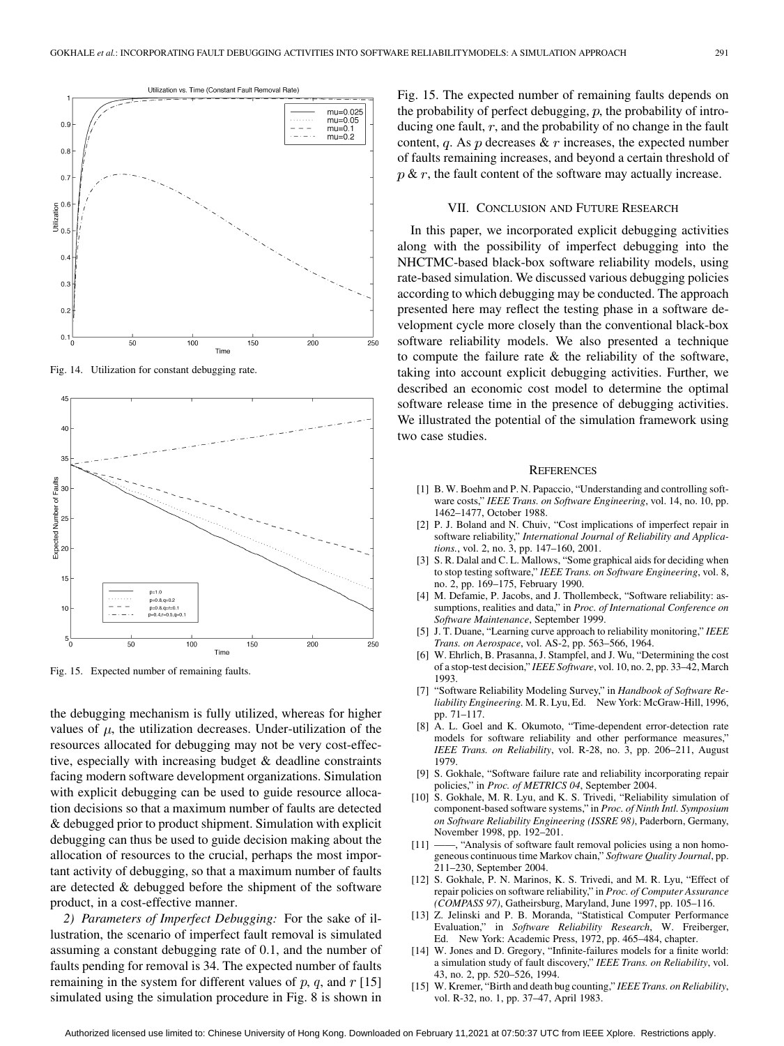<span id="page-10-0"></span>

Fig. 14. Utilization for constant debugging rate.



Fig. 15. Expected number of remaining faults.

the debugging mechanism is fully utilized, whereas for higher values of  $\mu$ , the utilization decreases. Under-utilization of the resources allocated for debugging may not be very cost-effective, especially with increasing budget & deadline constraints facing modern software development organizations. Simulation with explicit debugging can be used to guide resource allocation decisions so that a maximum number of faults are detected & debugged prior to product shipment. Simulation with explicit debugging can thus be used to guide decision making about the allocation of resources to the crucial, perhaps the most important activity of debugging, so that a maximum number of faults are detected & debugged before the shipment of the software product, in a cost-effective manner.

*2) Parameters of Imperfect Debugging:* For the sake of illustration, the scenario of imperfect fault removal is simulated assuming a constant debugging rate of 0.1, and the number of faults pending for removal is 34. The expected number of faults remaining in the system for different values of  $p$ ,  $q$ , and  $r$  [15] simulated using the simulation procedure in [Fig. 8](#page-4-0) is shown in

Fig. 15. The expected number of remaining faults depends on the probability of perfect debugging,  $p$ , the probability of introducing one fault,  $r$ , and the probability of no change in the fault content, q. As p decreases  $\& \, r$  increases, the expected number of faults remaining increases, and beyond a certain threshold of  $p \& r$ , the fault content of the software may actually increase.

#### VII. CONCLUSION AND FUTURE RESEARCH

In this paper, we incorporated explicit debugging activities along with the possibility of imperfect debugging into the NHCTMC-based black-box software reliability models, using rate-based simulation. We discussed various debugging policies according to which debugging may be conducted. The approach presented here may reflect the testing phase in a software development cycle more closely than the conventional black-box software reliability models. We also presented a technique to compute the failure rate & the reliability of the software, taking into account explicit debugging activities. Further, we described an economic cost model to determine the optimal software release time in the presence of debugging activities. We illustrated the potential of the simulation framework using two case studies.

#### **REFERENCES**

- [1] B. W. Boehm and P. N. Papaccio, "Understanding and controlling software costs," *IEEE Trans. on Software Engineering*, vol. 14, no. 10, pp. 1462–1477, October 1988.
- [2] P. J. Boland and N. Chuiv, "Cost implications of imperfect repair in software reliability," *International Journal of Reliability and Applications.*, vol. 2, no. 3, pp. 147–160, 2001.
- [3] S. R. Dalal and C. L. Mallows, "Some graphical aids for deciding when to stop testing software," *IEEE Trans. on Software Engineering*, vol. 8, no. 2, pp. 169–175, February 1990.
- [4] M. Defamie, P. Jacobs, and J. Thollembeck, "Software reliability: assumptions, realities and data," in *Proc. of International Conference on Software Maintenance*, September 1999.
- [5] J. T. Duane, "Learning curve approach to reliability monitoring," *IEEE Trans. on Aerospace*, vol. AS-2, pp. 563–566, 1964.
- [6] W. Ehrlich, B. Prasanna, J. Stampfel, and J. Wu, "Determining the cost of a stop-test decision," *IEEE Software*, vol. 10, no. 2, pp. 33–42, March 1993.
- [7] "Software Reliability Modeling Survey," in *Handbook of Software Reliability Engineering.* M. R. Lyu, Ed. New York: McGraw-Hill, 1996, pp. 71–117.
- [8] A. L. Goel and K. Okumoto, "Time-dependent error-detection rate models for software reliability and other performance measures," *IEEE Trans. on Reliability*, vol. R-28, no. 3, pp. 206–211, August 1979.
- [9] S. Gokhale, "Software failure rate and reliability incorporating repair policies," in *Proc. of METRICS 04*, September 2004.
- [10] S. Gokhale, M. R. Lyu, and K. S. Trivedi, "Reliability simulation of component-based software systems," in *Proc. of Ninth Intl. Symposium on Software Reliability Engineering (ISSRE 98)*, Paderborn, Germany, November 1998, pp. 192–201.
- [11] ——, "Analysis of software fault removal policies using a non homogeneous continuous time Markov chain," *Software Quality Journal*, pp. 211–230, September 2004.
- [12] S. Gokhale, P. N. Marinos, K. S. Trivedi, and M. R. Lyu, "Effect of repair policies on software reliability," in *Proc. of Computer Assurance (COMPASS 97)*, Gatheirsburg, Maryland, June 1997, pp. 105–116.
- [13] Z. Jelinski and P. B. Moranda, "Statistical Computer Performance Evaluation," in *Software Reliability Research*, W. Freiberger, Ed. New York: Academic Press, 1972, pp. 465–484, chapter.
- [14] W. Jones and D. Gregory, "Infinite-failures models for a finite world: a simulation study of fault discovery," *IEEE Trans. on Reliability*, vol. 43, no. 2, pp. 520–526, 1994.
- [15] W. Kremer, "Birth and death bug counting," *IEEE Trans. on Reliability*, vol. R-32, no. 1, pp. 37–47, April 1983.